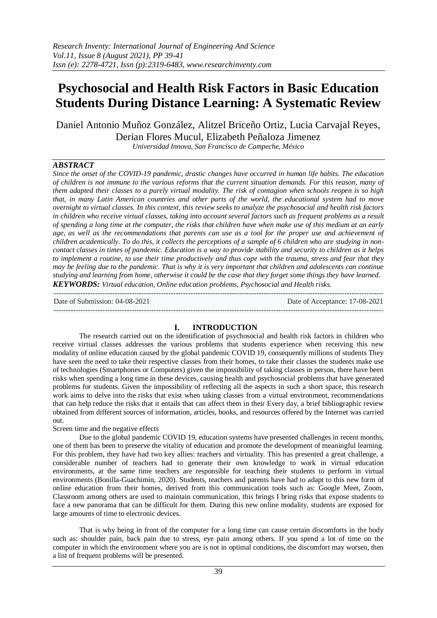# **Psychosocial and Health Risk Factors in Basic Education Students During Distance Learning: A Systematic Review**

Daniel Antonio Muñoz González, Alitzel Briceño Ortiz, Lucia Carvajal Reyes, Derian Flores Mucul, Elizabeth Peñaloza Jimenez *Universidad Innova, San Francisco de Campeche, México*

# *ABSTRACT*

*Since the onset of the COVID-19 pandemic, drastic changes have occurred in human life habits. The education of children is not immune to the various reforms that the current situation demands. For this reason, many of them adapted their classes to a purely virtual modality. The risk of contagion when schools reopen is so high that, in many Latin American countries and other parts of the world, the educational system had to move overnight to virtual classes. In this context, this review seeks to analyze the psychosocial and health risk factors in children who receive virtual classes, taking into account several factors such as frequent problems as a result of spending a long time at the computer, the risks that children have when make use of this medium at an early age, as well as the recommendations that parents can use as a tool for the proper use and achievement of children academically. To do this, it collects the perceptions of a sample of 6 children who are studying in noncontact classes in times of pandemic. Education is a way to provide stability and security to children as it helps to implement a routine, to use their time productively and thus cope with the trauma, stress and fear that they may be feeling due to the pandemic. That is why it is very important that children and adolescents can continue studying and learning from home, otherwise it could be the case that they forget some things they have learned. KEYWORDS: Virtual education, Online education problems, Psychosocial and Health risks.* ---------------------------------------------------------------------------------------------------------------------------------------

Date of Submission: 04-08-2021 Date of Acceptance: 17-08-2021

## ---------------------------------------------------------------------------------------------------------------------------------------

## **I. INTRODUCTION**

The research carried out on the identification of psychosocial and health risk factors in children who receive virtual classes addresses the various problems that students experience when receiving this new modality of online education caused by the global pandemic COVID 19, consequently millions of students They have seen the need to take their respective classes from their homes, to take their classes the students make use of technologies (Smartphones or Computers) given the impossibility of taking classes in person, there have been risks when spending a long time in these devices, causing health and psychosocial problems that have generated problems for students. Given the impossibility of reflecting all the aspects in such a short space, this research work aims to delve into the risks that exist when taking classes from a virtual environment, recommendations that can help reduce the risks that it entails that can affect them in their Every day, a brief bibliographic review obtained from different sources of information, articles, books, and resources offered by the Internet was carried out.

## Screen time and the negative effects

Due to the global pandemic COVID 19, education systems have presented challenges in recent months, one of them has been to preserve the vitality of education and promote the development of meaningful learning. For this problem, they have had two key allies: teachers and virtuality. This has presented a great challenge, a considerable number of teachers had to generate their own knowledge to work in virtual education environments, at the same time teachers are responsible for teaching their students to perform in virtual environments (Bonilla-Guachimin, 2020). Students, teachers and parents have had to adapt to this new form of online education from their homes, derived from this communication tools such as: Google Meet, Zoom, Classroom among others are used to maintain communication, this brings I bring risks that expose students to face a new panorama that can be difficult for them. During this new online modality, students are exposed for large amounts of time to electronic devices.

That is why being in front of the computer for a long time can cause certain discomforts in the body such as: shoulder pain, back pain due to stress, eye pain among others. If you spend a lot of time on the computer in which the environment where you are is not in optimal conditions, the discomfort may worsen, then a list of frequent problems will be presented.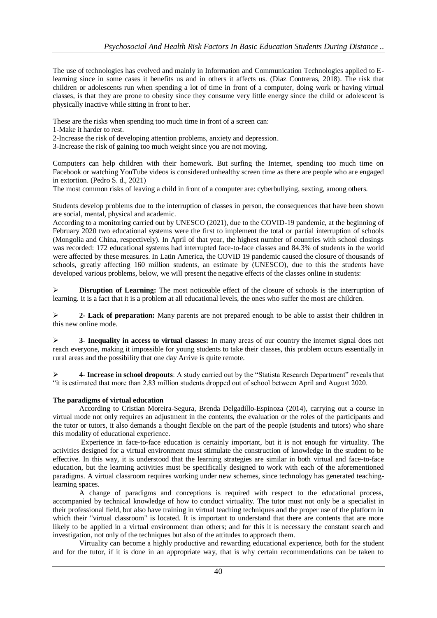The use of technologies has evolved and mainly in Information and Communication Technologies applied to Elearning since in some cases it benefits us and in others it affects us. (Diaz Contreras, 2018). The risk that children or adolescents run when spending a lot of time in front of a computer, doing work or having virtual classes, is that they are prone to obesity since they consume very little energy since the child or adolescent is physically inactive while sitting in front to her.

These are the risks when spending too much time in front of a screen can:

1-Make it harder to rest.

2-Increase the risk of developing attention problems, anxiety and depression.

3-Increase the risk of gaining too much weight since you are not moving.

Computers can help children with their homework. But surfing the Internet, spending too much time on Facebook or watching YouTube videos is considered unhealthy screen time as there are people who are engaged in extortion. (Pedro S. d., 2021)

The most common risks of leaving a child in front of a computer are: cyberbullying, sexting, among others.

Students develop problems due to the interruption of classes in person, the consequences that have been shown are social, mental, physical and academic.

According to a monitoring carried out by UNESCO (2021), due to the COVID-19 pandemic, at the beginning of February 2020 two educational systems were the first to implement the total or partial interruption of schools (Mongolia and China, respectively). In April of that year, the highest number of countries with school closings was recorded: 172 educational systems had interrupted face-to-face classes and 84.3% of students in the world were affected by these measures. In Latin America, the COVID 19 pandemic caused the closure of thousands of schools, greatly affecting 160 million students, an estimate by (UNESCO), due to this the students have developed various problems, below, we will present the negative effects of the classes online in students:

**Disruption of Learning:** The most noticeable effect of the closure of schools is the interruption of learning. It is a fact that it is a problem at all educational levels, the ones who suffer the most are children.

 **2- Lack of preparation:** Many parents are not prepared enough to be able to assist their children in this new online mode.

 **3- Inequality in access to virtual classes:** In many areas of our country the internet signal does not reach everyone, making it impossible for young students to take their classes, this problem occurs essentially in rural areas and the possibility that one day Arrive is quite remote.

 **4**- **Increase in school dropouts**: A study carried out by the "Statista Research Department" reveals that "it is estimated that more than 2.83 million students dropped out of school between April and August 2020.

## **The paradigms of virtual education**

According to Cristian Moreira-Segura, Brenda Delgadillo-Espinoza (2014), carrying out a course in virtual mode not only requires an adjustment in the contents, the evaluation or the roles of the participants and the tutor or tutors, it also demands a thought flexible on the part of the people (students and tutors) who share this modality of educational experience.

Experience in face-to-face education is certainly important, but it is not enough for virtuality. The activities designed for a virtual environment must stimulate the construction of knowledge in the student to be effective. In this way, it is understood that the learning strategies are similar in both virtual and face-to-face education, but the learning activities must be specifically designed to work with each of the aforementioned paradigms. A virtual classroom requires working under new schemes, since technology has generated teachinglearning spaces.

A change of paradigms and conceptions is required with respect to the educational process, accompanied by technical knowledge of how to conduct virtuality. The tutor must not only be a specialist in their professional field, but also have training in virtual teaching techniques and the proper use of the platform in which their "virtual classroom" is located. It is important to understand that there are contents that are more likely to be applied in a virtual environment than others; and for this it is necessary the constant search and investigation, not only of the techniques but also of the attitudes to approach them.

Virtuality can become a highly productive and rewarding educational experience, both for the student and for the tutor, if it is done in an appropriate way, that is why certain recommendations can be taken to